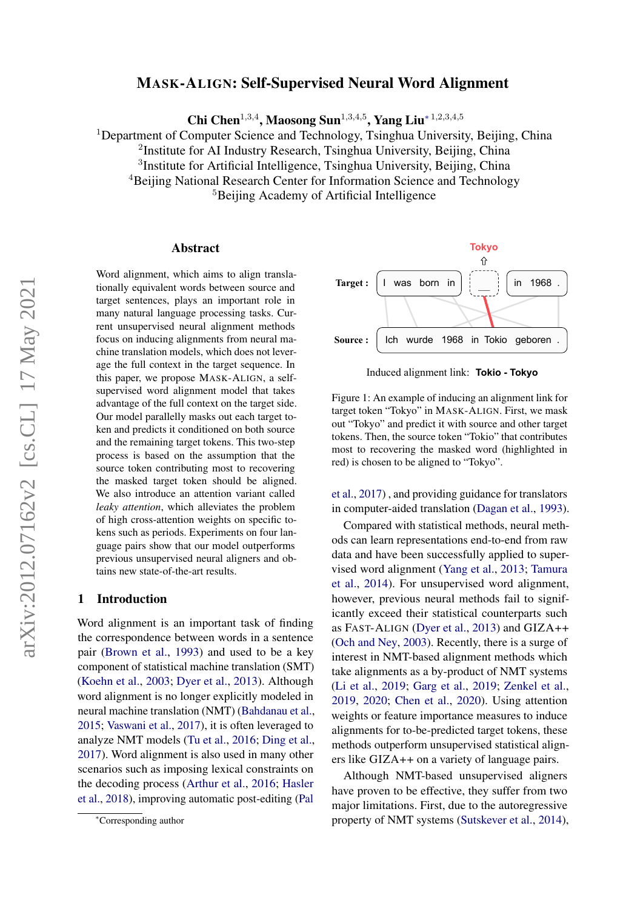# MASK-ALIGN: Self-Supervised Neural Word Alignment

Chi Chen<sup>1,3,4</sup>, Maosong Sun<sup>1,3,4,5</sup>, Yang Liu<sup>\*1,2,3,4,5</sup>

<sup>1</sup>Department of Computer Science and Technology, Tsinghua University, Beijing, China

<sup>2</sup>Institute for AI Industry Research, Tsinghua University, Beijing, China

<sup>3</sup>Institute for Artificial Intelligence, Tsinghua University, Beijing, China

<sup>4</sup>Beijing National Research Center for Information Science and Technology

<sup>5</sup>Beijing Academy of Artificial Intelligence

### Abstract

Word alignment, which aims to align translationally equivalent words between source and target sentences, plays an important role in many natural language processing tasks. Current unsupervised neural alignment methods focus on inducing alignments from neural machine translation models, which does not leverage the full context in the target sequence. In this paper, we propose MASK-ALIGN, a selfsupervised word alignment model that takes advantage of the full context on the target side. Our model parallelly masks out each target token and predicts it conditioned on both source and the remaining target tokens. This two-step process is based on the assumption that the source token contributing most to recovering the masked target token should be aligned. We also introduce an attention variant called *leaky attention*, which alleviates the problem of high cross-attention weights on specific tokens such as periods. Experiments on four language pairs show that our model outperforms previous unsupervised neural aligners and obtains new state-of-the-art results.

### <span id="page-0-1"></span>1 Introduction

Word alignment is an important task of finding the correspondence between words in a sentence pair [\(Brown et al.,](#page-8-0) [1993\)](#page-8-0) and used to be a key component of statistical machine translation (SMT) [\(Koehn et al.,](#page-9-0) [2003;](#page-9-0) [Dyer et al.,](#page-8-1) [2013\)](#page-8-1). Although word alignment is no longer explicitly modeled in neural machine translation (NMT) [\(Bahdanau et al.,](#page-8-2) [2015;](#page-8-2) [Vaswani et al.,](#page-9-1) [2017\)](#page-9-1), it is often leveraged to analyze NMT models [\(Tu et al.,](#page-9-2) [2016;](#page-9-2) [Ding et al.,](#page-8-3) [2017\)](#page-8-3). Word alignment is also used in many other scenarios such as imposing lexical constraints on the decoding process [\(Arthur et al.,](#page-8-4) [2016;](#page-8-4) [Hasler](#page-9-3) [et al.,](#page-9-3) [2018\)](#page-9-3), improving automatic post-editing [\(Pal](#page-9-4)

<span id="page-0-0"></span>

Induced alignment link: **Tokio - Tokyo**

Figure 1: An example of inducing an alignment link for target token "Tokyo" in MASK-ALIGN. First, we mask out "Tokyo" and predict it with source and other target tokens. Then, the source token "Tokio" that contributes most to recovering the masked word (highlighted in red) is chosen to be aligned to "Tokyo".

[et al.,](#page-9-4) [2017\)](#page-9-4) , and providing guidance for translators in computer-aided translation [\(Dagan et al.,](#page-8-5) [1993\)](#page-8-5).

Focus on inducing alignments from neural mas.<br>
Focus on the author corresponding and the method sole and the standard method in the transmission and propose MASK-A11CN, a self-<br>
supervived worst in the transmission and pr Compared with statistical methods, neural methods can learn representations end-to-end from raw data and have been successfully applied to supervised word alignment [\(Yang et al.,](#page-10-0) [2013;](#page-10-0) [Tamura](#page-9-5) [et al.,](#page-9-5) [2014\)](#page-9-5). For unsupervised word alignment, however, previous neural methods fail to significantly exceed their statistical counterparts such as FAST-ALIGN [\(Dyer et al.,](#page-8-1) [2013\)](#page-8-1) and GIZA++ [\(Och and Ney,](#page-9-6) [2003\)](#page-9-6). Recently, there is a surge of interest in NMT-based alignment methods which take alignments as a by-product of NMT systems [\(Li et al.,](#page-9-7) [2019;](#page-9-7) [Garg et al.,](#page-8-6) [2019;](#page-8-6) [Zenkel et al.,](#page-10-1) [2019,](#page-10-1) [2020;](#page-10-2) [Chen et al.,](#page-8-7) [2020\)](#page-8-7). Using attention weights or feature importance measures to induce alignments for to-be-predicted target tokens, these methods outperform unsupervised statistical aligners like GIZA++ on a variety of language pairs.

Although NMT-based unsupervised aligners have proven to be effective, they suffer from two major limitations. First, due to the autoregressive property of NMT systems [\(Sutskever et al.,](#page-9-8) [2014\)](#page-9-8),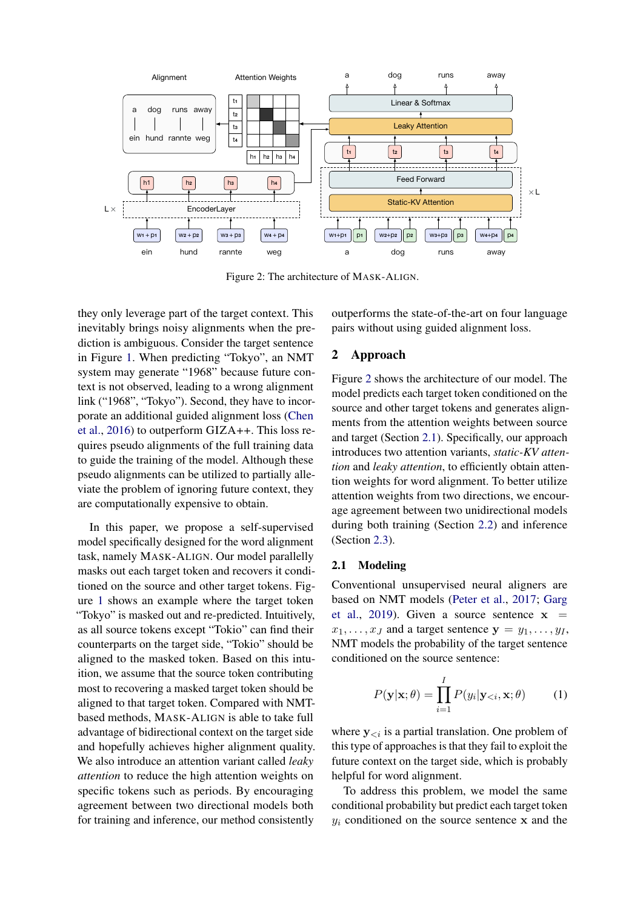<span id="page-1-0"></span>

Figure 2: The architecture of MASK-ALIGN.

they only leverage part of the target context. This inevitably brings noisy alignments when the prediction is ambiguous. Consider the target sentence in Figure [1.](#page-0-0) When predicting "Tokyo", an NMT system may generate "1968" because future context is not observed, leading to a wrong alignment link ("1968", "Tokyo"). Second, they have to incorporate an additional guided alignment loss [\(Chen](#page-8-8) [et al.,](#page-8-8) [2016\)](#page-8-8) to outperform GIZA++. This loss requires pseudo alignments of the full training data to guide the training of the model. Although these pseudo alignments can be utilized to partially alleviate the problem of ignoring future context, they are computationally expensive to obtain.

In this paper, we propose a self-supervised model specifically designed for the word alignment task, namely MASK-ALIGN. Our model parallelly masks out each target token and recovers it conditioned on the source and other target tokens. Figure [1](#page-0-0) shows an example where the target token "Tokyo" is masked out and re-predicted. Intuitively, as all source tokens except "Tokio" can find their counterparts on the target side, "Tokio" should be aligned to the masked token. Based on this intuition, we assume that the source token contributing most to recovering a masked target token should be aligned to that target token. Compared with NMTbased methods, MASK-ALIGN is able to take full advantage of bidirectional context on the target side and hopefully achieves higher alignment quality. We also introduce an attention variant called *leaky attention* to reduce the high attention weights on specific tokens such as periods. By encouraging agreement between two directional models both for training and inference, our method consistently

outperforms the state-of-the-art on four language pairs without using guided alignment loss.

# 2 Approach

Figure [2](#page-1-0) shows the architecture of our model. The model predicts each target token conditioned on the source and other target tokens and generates alignments from the attention weights between source and target (Section [2.1\)](#page-1-1). Specifically, our approach introduces two attention variants, *static-KV attention* and *leaky attention*, to efficiently obtain attention weights for word alignment. To better utilize attention weights from two directions, we encourage agreement between two unidirectional models during both training (Section [2.2\)](#page-3-0) and inference (Section [2.3\)](#page-4-0).

# <span id="page-1-1"></span>2.1 Modeling

Conventional unsupervised neural aligners are based on NMT models [\(Peter et al.,](#page-9-9) [2017;](#page-9-9) [Garg](#page-8-6) [et al.,](#page-8-6) [2019\)](#page-8-6). Given a source sentence  $x =$  $x_1, \ldots, x_J$  and a target sentence  $y = y_1, \ldots, y_I$ , NMT models the probability of the target sentence conditioned on the source sentence:

$$
P(\mathbf{y}|\mathbf{x};\theta) = \prod_{i=1}^{I} P(y_i|\mathbf{y}_{< i}, \mathbf{x}; \theta) \tag{1}
$$

where  $y_{\leq i}$  is a partial translation. One problem of this type of approaches is that they fail to exploit the future context on the target side, which is probably helpful for word alignment.

To address this problem, we model the same conditional probability but predict each target token  $y_i$  conditioned on the source sentence x and the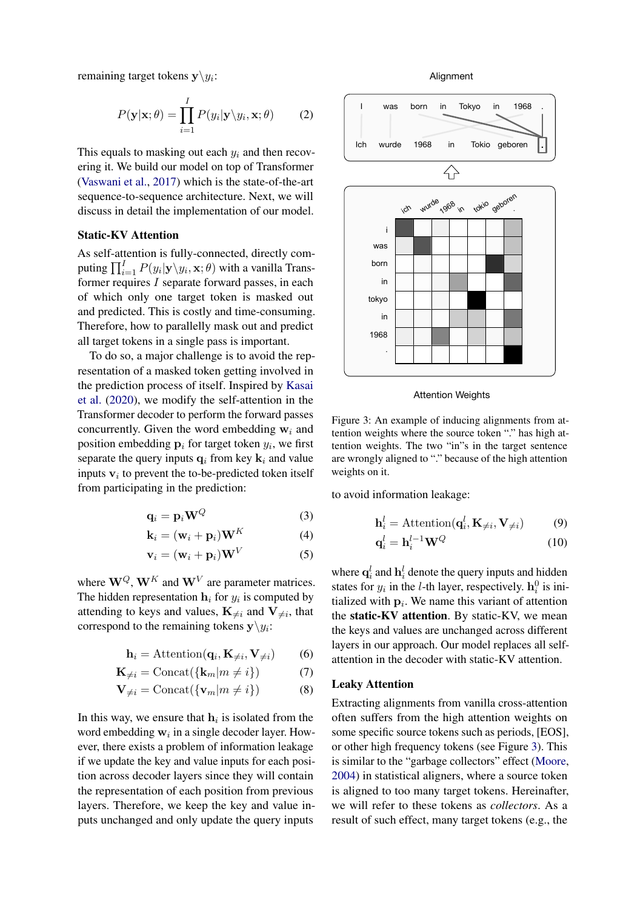remaining target tokens  $y \backslash y_i$ :

$$
P(\mathbf{y}|\mathbf{x};\theta) = \prod_{i=1}^{I} P(y_i|\mathbf{y}\backslash y_i, \mathbf{x};\theta)
$$
 (2)

This equals to masking out each  $y_i$  and then recovering it. We build our model on top of Transformer [\(Vaswani et al.,](#page-9-1) [2017\)](#page-9-1) which is the state-of-the-art sequence-to-sequence architecture. Next, we will discuss in detail the implementation of our model.

## <span id="page-2-1"></span>Static-KV Attention

As self-attention is fully-connected, directly computing  $\prod_{i=1}^{I} P(y_i | \mathbf{y} \backslash y_i, \mathbf{x}; \theta)$  with a vanilla Transformer requires I separate forward passes, in each of which only one target token is masked out and predicted. This is costly and time-consuming. Therefore, how to parallelly mask out and predict all target tokens in a single pass is important.

To do so, a major challenge is to avoid the representation of a masked token getting involved in the prediction process of itself. Inspired by [Kasai](#page-9-10) [et al.](#page-9-10) [\(2020\)](#page-9-10), we modify the self-attention in the Transformer decoder to perform the forward passes concurrently. Given the word embedding  $w_i$  and position embedding  $\mathbf{p}_i$  for target token  $y_i$ , we first separate the query inputs  $q_i$  from key  $k_i$  and value inputs  $v_i$  to prevent the to-be-predicted token itself from participating in the prediction:

$$
\mathbf{q}_i = \mathbf{p}_i \mathbf{W}^Q \tag{3}
$$

$$
\mathbf{k}_i = (\mathbf{w}_i + \mathbf{p}_i)\mathbf{W}^K
$$
 (4)

$$
\mathbf{v}_i = (\mathbf{w}_i + \mathbf{p}_i)\mathbf{W}^V \tag{5}
$$

where  $W^Q$ ,  $W^K$  and  $W^V$  are parameter matrices. The hidden representation  $h_i$  for  $y_i$  is computed by attending to keys and values,  $\mathbf{K}_{\neq i}$  and  $\mathbf{V}_{\neq i}$ , that correspond to the remaining tokens  $y \ y_i$ :

$$
\mathbf{h}_i = \text{Attention}(\mathbf{q}_i, \mathbf{K}_{\neq i}, \mathbf{V}_{\neq i}) \tag{6}
$$

$$
\mathbf{K}_{\neq i} = \text{Concat}(\{\mathbf{k}_m | m \neq i\})\tag{7}
$$

$$
\mathbf{V}_{\neq i} = \text{Concat}(\{\mathbf{v}_m | m \neq i\})
$$
 (8)

In this way, we ensure that  $h_i$  is isolated from the word embedding  $w_i$  in a single decoder layer. However, there exists a problem of information leakage if we update the key and value inputs for each position across decoder layers since they will contain the representation of each position from previous layers. Therefore, we keep the key and value inputs unchanged and only update the query inputs

Alignment

<span id="page-2-0"></span>

Attention Weights

Figure 3: An example of inducing alignments from attention weights where the source token "." has high attention weights. The two "in"s in the target sentence are wrongly aligned to "." because of the high attention weights on it.

to avoid information leakage:

$$
\mathbf{h}_{i}^{l} = \text{Attention}(\mathbf{q}_{i}^{l}, \mathbf{K}_{\neq i}, \mathbf{V}_{\neq i})
$$
(9)  

$$
\mathbf{q}_{i}^{l} = \mathbf{h}_{i}^{l-1} \mathbf{W}^{Q}
$$
(10)

where  $\mathbf{q}_i^l$  and  $\mathbf{h}_i^l$  denote the query inputs and hidden states for  $y_i$  in the *l*-th layer, respectively.  $\mathbf{h}_i^0$  is initialized with  $\mathbf{p}_i$ . We name this variant of attention the static-KV attention. By static-KV, we mean the keys and values are unchanged across different layers in our approach. Our model replaces all selfattention in the decoder with static-KV attention.

#### <span id="page-2-2"></span>Leaky Attention

Extracting alignments from vanilla cross-attention often suffers from the high attention weights on some specific source tokens such as periods, [EOS], or other high frequency tokens (see Figure [3\)](#page-2-0). This is similar to the "garbage collectors" effect [\(Moore,](#page-9-11) [2004\)](#page-9-11) in statistical aligners, where a source token is aligned to too many target tokens. Hereinafter, we will refer to these tokens as *collectors*. As a result of such effect, many target tokens (e.g., the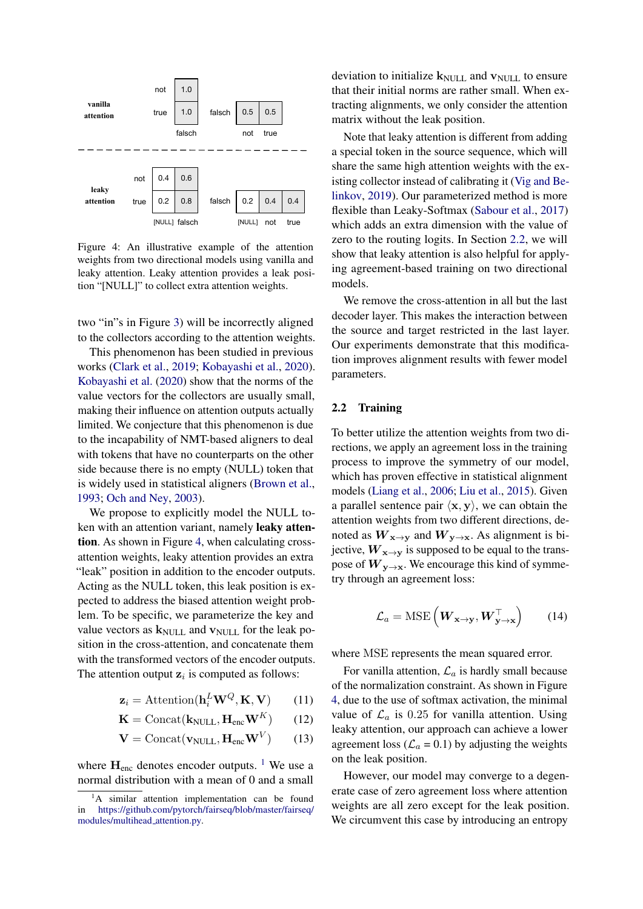<span id="page-3-1"></span>

Figure 4: An illustrative example of the attention weights from two directional models using vanilla and leaky attention. Leaky attention provides a leak position "[NULL]" to collect extra attention weights.

two "in"s in Figure [3\)](#page-2-0) will be incorrectly aligned to the collectors according to the attention weights.

This phenomenon has been studied in previous works [\(Clark et al.,](#page-8-9) [2019;](#page-8-9) [Kobayashi et al.,](#page-9-12) [2020\)](#page-9-12). [Kobayashi et al.](#page-9-12) [\(2020\)](#page-9-12) show that the norms of the value vectors for the collectors are usually small, making their influence on attention outputs actually limited. We conjecture that this phenomenon is due to the incapability of NMT-based aligners to deal with tokens that have no counterparts on the other side because there is no empty (NULL) token that is widely used in statistical aligners [\(Brown et al.,](#page-8-0) [1993;](#page-8-0) [Och and Ney,](#page-9-6) [2003\)](#page-9-6).

We propose to explicitly model the NULL token with an attention variant, namely leaky attention. As shown in Figure [4,](#page-3-1) when calculating crossattention weights, leaky attention provides an extra "leak" position in addition to the encoder outputs. Acting as the NULL token, this leak position is expected to address the biased attention weight problem. To be specific, we parameterize the key and value vectors as  $k_{\text{NULL}}$  and  $v_{\text{NULL}}$  for the leak position in the cross-attention, and concatenate them with the transformed vectors of the encoder outputs. The attention output  $z_i$  is computed as follows:

$$
\mathbf{z}_i = \text{Attention}(\mathbf{h}_i^L \mathbf{W}^Q, \mathbf{K}, \mathbf{V}) \tag{11}
$$

$$
\mathbf{K} = \text{Concat}(\mathbf{k}_{\text{NULL}}, \mathbf{H}_{\text{enc}} \mathbf{W}^K) \qquad (12)
$$

$$
\mathbf{V} = \text{Concat}(\mathbf{v}_{\text{NULL}}, \mathbf{H}_{\text{enc}} \mathbf{W}^V) \qquad (13)
$$

where  $H_{\text{enc}}$  denotes encoder outputs. <sup>[1](#page-3-2)</sup> We use a normal distribution with a mean of 0 and a small deviation to initialize  $k_{\text{NULL}}$  and  $v_{\text{NULL}}$  to ensure that their initial norms are rather small. When extracting alignments, we only consider the attention matrix without the leak position.

Note that leaky attention is different from adding a special token in the source sequence, which will share the same high attention weights with the existing collector instead of calibrating it [\(Vig and Be](#page-10-3)[linkov,](#page-10-3) [2019\)](#page-10-3). Our parameterized method is more flexible than Leaky-Softmax [\(Sabour et al.,](#page-9-13) [2017\)](#page-9-13) which adds an extra dimension with the value of zero to the routing logits. In Section [2.2,](#page-3-0) we will show that leaky attention is also helpful for applying agreement-based training on two directional models.

We remove the cross-attention in all but the last decoder layer. This makes the interaction between the source and target restricted in the last layer. Our experiments demonstrate that this modification improves alignment results with fewer model parameters.

### <span id="page-3-0"></span>2.2 Training

To better utilize the attention weights from two directions, we apply an agreement loss in the training process to improve the symmetry of our model, which has proven effective in statistical alignment models [\(Liang et al.,](#page-9-14) [2006;](#page-9-14) [Liu et al.,](#page-9-15) [2015\)](#page-9-15). Given a parallel sentence pair  $\langle x, v \rangle$ , we can obtain the attention weights from two different directions, denoted as  $W_{x\to y}$  and  $W_{y\to x}$ . As alignment is bijective,  $W_{x\to y}$  is supposed to be equal to the transpose of  $W_{y\to x}$ . We encourage this kind of symmetry through an agreement loss:

$$
\mathcal{L}_a = \text{MSE}\left(\boldsymbol{W}_{\mathbf{x}\to\mathbf{y}}, \boldsymbol{W}_{\mathbf{y}\to\mathbf{x}}^\top\right) \tag{14}
$$

where MSE represents the mean squared error.

For vanilla attention,  $\mathcal{L}_a$  is hardly small because of the normalization constraint. As shown in Figure [4,](#page-3-1) due to the use of softmax activation, the minimal value of  $\mathcal{L}_a$  is 0.25 for vanilla attention. Using leaky attention, our approach can achieve a lower agreement loss ( $\mathcal{L}_a$  = 0.1) by adjusting the weights on the leak position.

However, our model may converge to a degenerate case of zero agreement loss where attention weights are all zero except for the leak position. We circumvent this case by introducing an entropy

<span id="page-3-2"></span> ${}^{1}$ A similar attention implementation can be found in [https://github.com/pytorch/fairseq/blob/master/fairseq/](https://github.com/pytorch/fairseq/blob/master/fairseq/modules/multihead_attention.py) [modules/multihead](https://github.com/pytorch/fairseq/blob/master/fairseq/modules/multihead_attention.py) attention.py.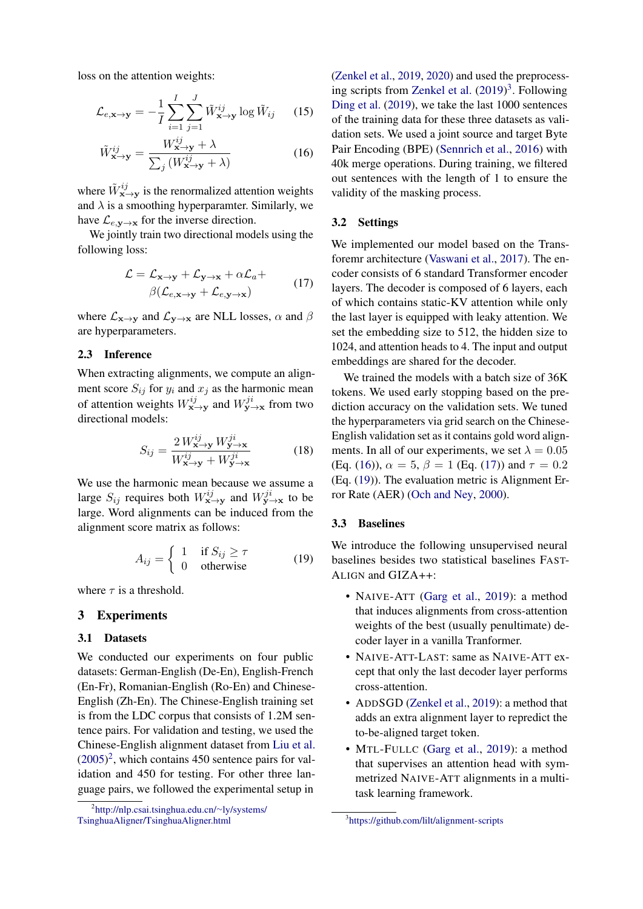loss on the attention weights:

$$
\mathcal{L}_{e,\mathbf{x}\to\mathbf{y}} = -\frac{1}{I} \sum_{i=1}^{I} \sum_{j=1}^{J} \tilde{W}_{\mathbf{x}\to\mathbf{y}}^{ij} \log \tilde{W}_{ij} \qquad (15)
$$

$$
\tilde{W}_{\mathbf{x}\to\mathbf{y}}^{ij} = \frac{W_{\mathbf{x}\to\mathbf{y}}^{ij} + \lambda}{\sum_{j} \left( W_{\mathbf{x}\to\mathbf{y}}^{ij} + \lambda \right)}
$$
(16)

where  $\tilde{W}_{\mathbf{x}\to\mathbf{y}}^{ij}$  is the renormalized attention weights and  $\lambda$  is a smoothing hyperparamter. Similarly, we have  $\mathcal{L}_{e,\mathbf{v}\to\mathbf{x}}$  for the inverse direction.

We jointly train two directional models using the following loss:

<span id="page-4-4"></span>
$$
\mathcal{L} = \mathcal{L}_{\mathbf{x} \to \mathbf{y}} + \mathcal{L}_{\mathbf{y} \to \mathbf{x}} + \alpha \mathcal{L}_a +
$$
  
\n
$$
\beta(\mathcal{L}_{e,\mathbf{x} \to \mathbf{y}} + \mathcal{L}_{e,\mathbf{y} \to \mathbf{x}})
$$
\n(17)

where  $\mathcal{L}_{\mathbf{x} \to \mathbf{y}}$  and  $\mathcal{L}_{\mathbf{y} \to \mathbf{x}}$  are NLL losses,  $\alpha$  and  $\beta$ are hyperparameters.

## <span id="page-4-0"></span>2.3 Inference

When extracting alignments, we compute an alignment score  $S_{ij}$  for  $y_i$  and  $x_j$  as the harmonic mean of attention weights  $W_{\mathbf{x}\to\mathbf{y}}^{ij}$  and  $W_{\mathbf{y}\to\mathbf{x}}^{ji}$  from two directional models:

$$
S_{ij} = \frac{2 W_{\mathbf{x}\to\mathbf{y}}^{ij} W_{\mathbf{y}\to\mathbf{x}}^{ji}}{W_{\mathbf{x}\to\mathbf{y}}^{ij} + W_{\mathbf{y}\to\mathbf{x}}^{ji}}
$$
(18)

We use the harmonic mean because we assume a large  $S_{ij}$  requires both  $W_{\mathbf{x}\to\mathbf{y}}^{ij}$  and  $W_{\mathbf{y}\to\mathbf{x}}^{ji}$  to be large. Word alignments can be induced from the alignment score matrix as follows:

$$
A_{ij} = \begin{cases} 1 & \text{if } S_{ij} \ge \tau \\ 0 & \text{otherwise} \end{cases}
$$
 (19)

where  $\tau$  is a threshold.

### 3 Experiments

### 3.1 Datasets

We conducted our experiments on four public datasets: German-English (De-En), English-French (En-Fr), Romanian-English (Ro-En) and Chinese-English (Zh-En). The Chinese-English training set is from the LDC corpus that consists of 1.2M sentence pairs. For validation and testing, we used the Chinese-English alignment dataset from [Liu et al.](#page-9-16) [\(2005\)](#page-9-16) [2](#page-4-1) , which contains 450 sentence pairs for validation and 450 for testing. For other three language pairs, we followed the experimental setup in

<span id="page-4-3"></span>[\(Zenkel et al.,](#page-10-1) [2019,](#page-10-1) [2020\)](#page-10-2) and used the preprocessing scripts from [Zenkel et al.](#page-10-1) [\(2019\)](#page-10-1) [3](#page-4-2) . Following [Ding et al.](#page-8-10) [\(2019\)](#page-8-10), we take the last 1000 sentences of the training data for these three datasets as validation sets. We used a joint source and target Byte Pair Encoding (BPE) [\(Sennrich et al.,](#page-9-17) [2016\)](#page-9-17) with 40k merge operations. During training, we filtered out sentences with the length of 1 to ensure the validity of the masking process.

# 3.2 Settings

We implemented our model based on the Transforemr architecture [\(Vaswani et al.,](#page-9-1) [2017\)](#page-9-1). The encoder consists of 6 standard Transformer encoder layers. The decoder is composed of 6 layers, each of which contains static-KV attention while only the last layer is equipped with leaky attention. We set the embedding size to 512, the hidden size to 1024, and attention heads to 4. The input and output embeddings are shared for the decoder.

We trained the models with a batch size of 36K tokens. We used early stopping based on the prediction accuracy on the validation sets. We tuned the hyperparameters via grid search on the Chinese-English validation set as it contains gold word alignments. In all of our experiments, we set  $\lambda = 0.05$ (Eq. [\(16\)](#page-4-3)),  $\alpha = 5$ ,  $\beta = 1$  (Eq. [\(17\)](#page-4-4)) and  $\tau = 0.2$ (Eq. [\(19\)](#page-4-5)). The evaluation metric is Alignment Error Rate (AER) [\(Och and Ney,](#page-9-18) [2000\)](#page-9-18).

## <span id="page-4-5"></span>3.3 Baselines

We introduce the following unsupervised neural baselines besides two statistical baselines FAST-ALIGN and GIZA++:

- NAIVE-ATT [\(Garg et al.,](#page-8-6) [2019\)](#page-8-6): a method that induces alignments from cross-attention weights of the best (usually penultimate) decoder layer in a vanilla Tranformer.
- NAIVE-ATT-LAST: same as NAIVE-ATT except that only the last decoder layer performs cross-attention.
- ADDSGD [\(Zenkel et al.,](#page-10-1) [2019\)](#page-10-1): a method that adds an extra alignment layer to repredict the to-be-aligned target token.
- MTL-FULLC [\(Garg et al.,](#page-8-6) [2019\)](#page-8-6): a method that supervises an attention head with symmetrized NAIVE-ATT alignments in a multitask learning framework.

<span id="page-4-1"></span><sup>2</sup> [http://nlp.csai.tsinghua.edu.cn/](http://nlp.csai.tsinghua.edu.cn/~ly/systems/TsinghuaAligner/TsinghuaAligner.html)∼ly/systems/ [TsinghuaAligner/TsinghuaAligner.html](http://nlp.csai.tsinghua.edu.cn/~ly/systems/TsinghuaAligner/TsinghuaAligner.html)

<span id="page-4-2"></span><sup>3</sup> <https://github.com/lilt/alignment-scripts>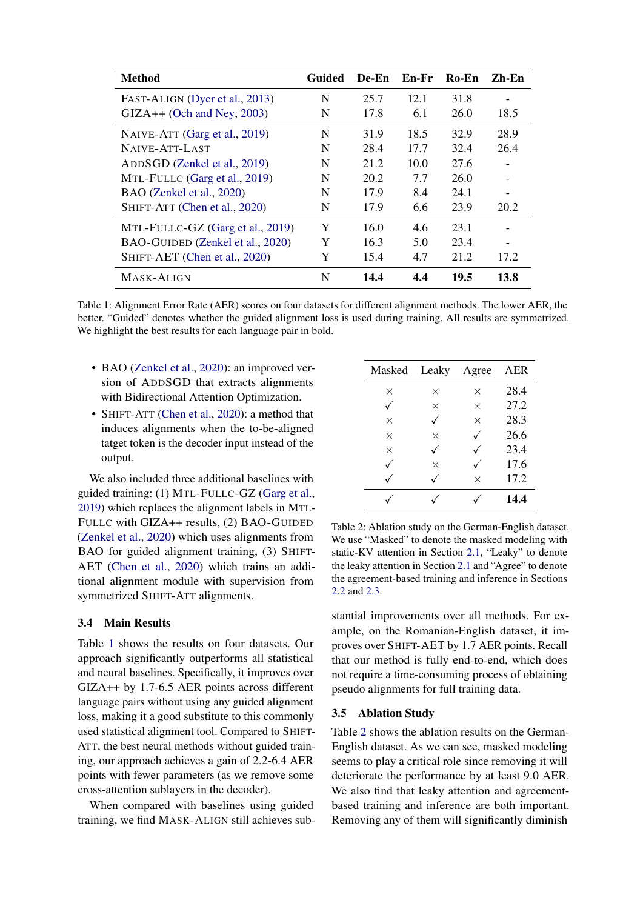<span id="page-5-0"></span>

| <b>Method</b>                    | Guided | De-En | En-Fr | $Ro$ -En | Zh-En |
|----------------------------------|--------|-------|-------|----------|-------|
| FAST-ALIGN (Dyer et al., 2013)   | N      | 25.7  | 12.1  | 31.8     |       |
| $GIZA++$ (Och and Ney, 2003)     | N      | 17.8  | 6.1   | 26.0     | 18.5  |
| NAIVE-ATT (Garg et al., 2019)    | N      | 31.9  | 18.5  | 32.9     | 28.9  |
| NAIVE-ATT-LAST                   | N      | 28.4  | 17.7  | 32.4     | 26.4  |
| ADDSGD (Zenkel et al., 2019)     | N      | 21.2  | 10.0  | 27.6     |       |
| MTL-FULLC (Garg et al., 2019)    | N      | 20.2  | 7.7   | 26.0     |       |
| BAO (Zenkel et al., 2020)        | N      | 17.9  | 8.4   | 24.1     |       |
| SHIFT-ATT (Chen et al., 2020)    | N      | 17.9  | 6.6   | 23.9     | 20.2  |
| MTL-FULLC-GZ (Garg et al., 2019) | Y      | 16.0  | 4.6   | 23.1     |       |
| BAO-GUIDED (Zenkel et al., 2020) | Y      | 16.3  | 5.0   | 23.4     |       |
| SHIFT-AET (Chen et al., 2020)    | Y      | 15.4  | 4.7   | 21.2     | 17.2  |
| MASK-ALIGN                       | N      | 14.4  | 4.4   | 19.5     | 13.8  |

Table 1: Alignment Error Rate (AER) scores on four datasets for different alignment methods. The lower AER, the better. "Guided" denotes whether the guided alignment loss is used during training. All results are symmetrized. We highlight the best results for each language pair in bold.

- BAO [\(Zenkel et al.,](#page-10-2) [2020\)](#page-10-2): an improved version of ADDSGD that extracts alignments with Bidirectional Attention Optimization.
- SHIFT-ATT [\(Chen et al.,](#page-8-7) [2020\)](#page-8-7): a method that induces alignments when the to-be-aligned tatget token is the decoder input instead of the output.

We also included three additional baselines with guided training: (1) MTL-FULLC-GZ [\(Garg et al.,](#page-8-6) [2019\)](#page-8-6) which replaces the alignment labels in MTL-FULLC with GIZA++ results, (2) BAO-GUIDED [\(Zenkel et al.,](#page-10-2) [2020\)](#page-10-2) which uses alignments from BAO for guided alignment training, (3) SHIFT-AET [\(Chen et al.,](#page-8-7) [2020\)](#page-8-7) which trains an additional alignment module with supervision from symmetrized SHIFT-ATT alignments.

## 3.4 Main Results

Table [1](#page-5-0) shows the results on four datasets. Our approach significantly outperforms all statistical and neural baselines. Specifically, it improves over GIZA++ by 1.7-6.5 AER points across different language pairs without using any guided alignment loss, making it a good substitute to this commonly used statistical alignment tool. Compared to SHIFT-ATT, the best neural methods without guided training, our approach achieves a gain of 2.2-6.4 AER points with fewer parameters (as we remove some cross-attention sublayers in the decoder).

When compared with baselines using guided training, we find MASK-ALIGN still achieves sub-

<span id="page-5-1"></span>

| Masked   | Leaky    | Agree        | AER  |
|----------|----------|--------------|------|
| $\times$ | $\times$ | $\times$     | 28.4 |
|          | $\times$ | $\times$     | 27.2 |
| $\times$ |          | $\times$     | 28.3 |
| $\times$ | $\times$ | $\checkmark$ | 26.6 |
| $\times$ |          |              | 23.4 |
|          | $\times$ |              | 17.6 |
|          |          | $\times$     | 17.2 |
|          |          |              | 14.4 |

Table 2: Ablation study on the German-English dataset. We use "Masked" to denote the masked modeling with static-KV attention in Section [2.1,](#page-2-1) "Leaky" to denote the leaky attention in Section [2.1](#page-2-2) and "Agree" to denote the agreement-based training and inference in Sections [2.2](#page-3-0) and [2.3.](#page-4-0)

stantial improvements over all methods. For example, on the Romanian-English dataset, it improves over SHIFT-AET by 1.7 AER points. Recall that our method is fully end-to-end, which does not require a time-consuming process of obtaining pseudo alignments for full training data.

## 3.5 Ablation Study

Table [2](#page-5-1) shows the ablation results on the German-English dataset. As we can see, masked modeling seems to play a critical role since removing it will deteriorate the performance by at least 9.0 AER. We also find that leaky attention and agreementbased training and inference are both important. Removing any of them will significantly diminish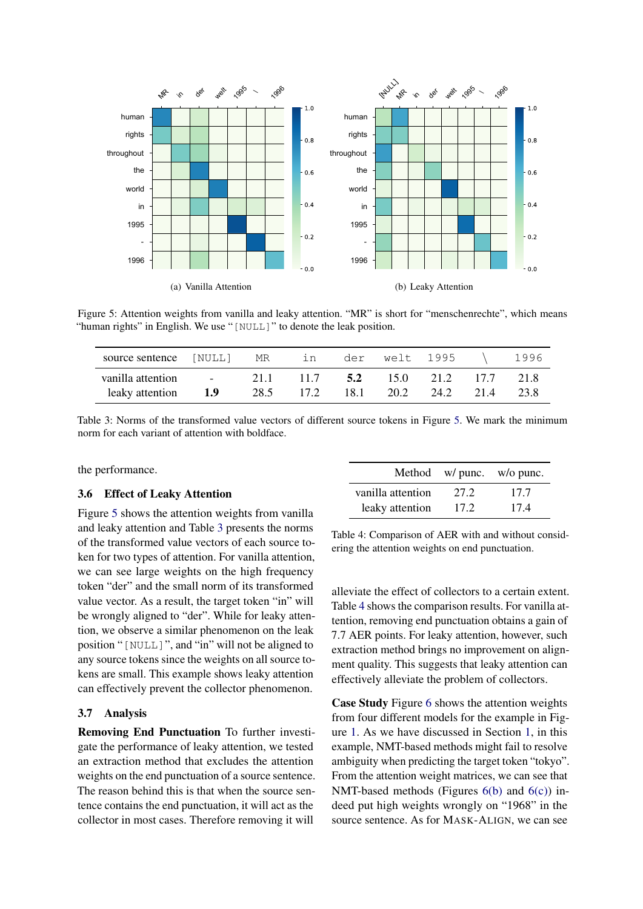<span id="page-6-0"></span>

Figure 5: Attention weights from vanilla and leaky attention. "MR" is short for "menschenrechte", which means "human rights" in English. We use "[NULL]" to denote the leak position.

<span id="page-6-1"></span>

| source sentence [NULL]               |                        | MR           | in           | der | welt 1995 |                                   | 1996         |
|--------------------------------------|------------------------|--------------|--------------|-----|-----------|-----------------------------------|--------------|
| vanilla attention<br>leaky attention | <b>Service</b><br>-1.9 | 21 1<br>28.5 | 11.7<br>17.2 | 5.2 | 18.1 20.2 | $15.0$ $21.2$ $17.7$<br>24.2 21.4 | 21.8<br>23.8 |

Table 3: Norms of the transformed value vectors of different source tokens in Figure [5.](#page-6-0) We mark the minimum norm for each variant of attention with boldface.

the performance.

### 3.6 Effect of Leaky Attention

Figure [5](#page-6-0) shows the attention weights from vanilla and leaky attention and Table [3](#page-6-1) presents the norms of the transformed value vectors of each source token for two types of attention. For vanilla attention, we can see large weights on the high frequency token "der" and the small norm of its transformed value vector. As a result, the target token "in" will be wrongly aligned to "der". While for leaky attention, we observe a similar phenomenon on the leak position "[NULL]", and "in" will not be aligned to any source tokens since the weights on all source tokens are small. This example shows leaky attention can effectively prevent the collector phenomenon.

## 3.7 Analysis

Removing End Punctuation To further investigate the performance of leaky attention, we tested an extraction method that excludes the attention weights on the end punctuation of a source sentence. The reason behind this is that when the source sentence contains the end punctuation, it will act as the collector in most cases. Therefore removing it will

<span id="page-6-2"></span>

| vanilla attention | 27.2 | 17.7 |
|-------------------|------|------|
| leaky attention   | 17.2 | 17.4 |

Method w/ punc. w/o punc.

Table 4: Comparison of AER with and without considering the attention weights on end punctuation.

alleviate the effect of collectors to a certain extent. Table [4](#page-6-2) shows the comparison results. For vanilla attention, removing end punctuation obtains a gain of 7.7 AER points. For leaky attention, however, such extraction method brings no improvement on alignment quality. This suggests that leaky attention can effectively alleviate the problem of collectors.

Case Study Figure [6](#page-7-0) shows the attention weights from four different models for the example in Figure [1.](#page-0-0) As we have discussed in Section [1,](#page-0-1) in this example, NMT-based methods might fail to resolve ambiguity when predicting the target token "tokyo". From the attention weight matrices, we can see that NMT-based methods (Figures  $6(b)$  and  $6(c)$ ) indeed put high weights wrongly on "1968" in the source sentence. As for MASK-ALIGN, we can see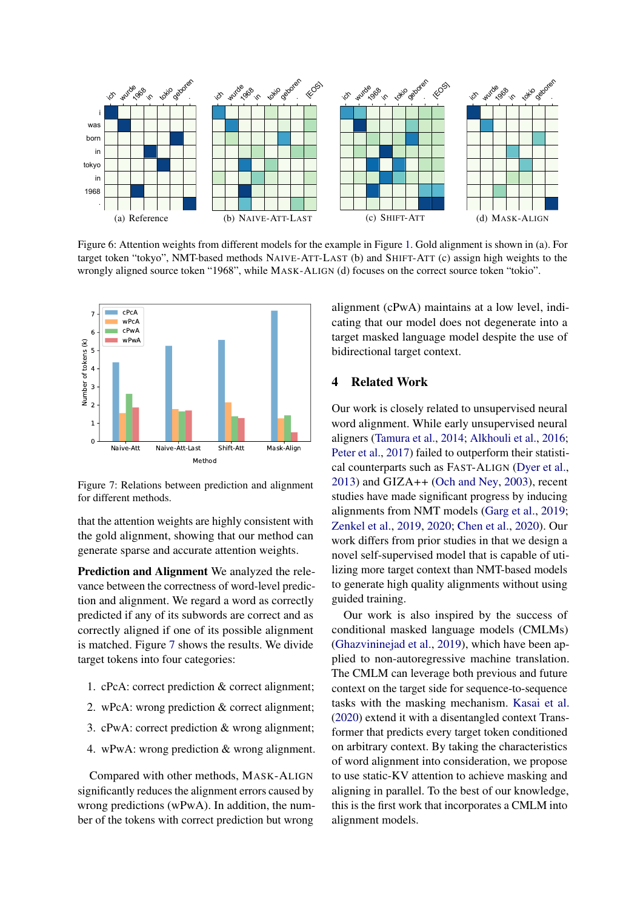<span id="page-7-1"></span><span id="page-7-0"></span>

Figure 6: Attention weights from different models for the example in Figure [1.](#page-0-0) Gold alignment is shown in (a). For target token "tokyo", NMT-based methods NAIVE-ATT-LAST (b) and SHIFT-ATT (c) assign high weights to the wrongly aligned source token "1968", while MASK-ALIGN (d) focuses on the correct source token "tokio".

<span id="page-7-3"></span>

Figure 7: Relations between prediction and alignment for different methods.

that the attention weights are highly consistent with the gold alignment, showing that our method can generate sparse and accurate attention weights.

Prediction and Alignment We analyzed the relevance between the correctness of word-level prediction and alignment. We regard a word as correctly predicted if any of its subwords are correct and as correctly aligned if one of its possible alignment is matched. Figure [7](#page-7-3) shows the results. We divide target tokens into four categories:

- 1. cPcA: correct prediction & correct alignment;
- 2. wPcA: wrong prediction & correct alignment;
- 3. cPwA: correct prediction & wrong alignment;
- 4. wPwA: wrong prediction & wrong alignment.

Compared with other methods, MASK-ALIGN significantly reduces the alignment errors caused by wrong predictions (wPwA). In addition, the number of the tokens with correct prediction but wrong

<span id="page-7-2"></span>alignment (cPwA) maintains at a low level, indicating that our model does not degenerate into a target masked language model despite the use of bidirectional target context.

### 4 Related Work

Our work is closely related to unsupervised neural word alignment. While early unsupervised neural aligners [\(Tamura et al.,](#page-9-5) [2014;](#page-9-5) [Alkhouli et al.,](#page-8-11) [2016;](#page-8-11) [Peter et al.,](#page-9-9) [2017\)](#page-9-9) failed to outperform their statistical counterparts such as FAST-ALIGN [\(Dyer et al.,](#page-8-1) [2013\)](#page-8-1) and GIZA++ [\(Och and Ney,](#page-9-6) [2003\)](#page-9-6), recent studies have made significant progress by inducing alignments from NMT models [\(Garg et al.,](#page-8-6) [2019;](#page-8-6) [Zenkel et al.,](#page-10-1) [2019,](#page-10-1) [2020;](#page-10-2) [Chen et al.,](#page-8-7) [2020\)](#page-8-7). Our work differs from prior studies in that we design a novel self-supervised model that is capable of utilizing more target context than NMT-based models to generate high quality alignments without using guided training.

Our work is also inspired by the success of conditional masked language models (CMLMs) [\(Ghazvininejad et al.,](#page-8-12) [2019\)](#page-8-12), which have been applied to non-autoregressive machine translation. The CMLM can leverage both previous and future context on the target side for sequence-to-sequence tasks with the masking mechanism. [Kasai et al.](#page-9-10) [\(2020\)](#page-9-10) extend it with a disentangled context Transformer that predicts every target token conditioned on arbitrary context. By taking the characteristics of word alignment into consideration, we propose to use static-KV attention to achieve masking and aligning in parallel. To the best of our knowledge, this is the first work that incorporates a CMLM into alignment models.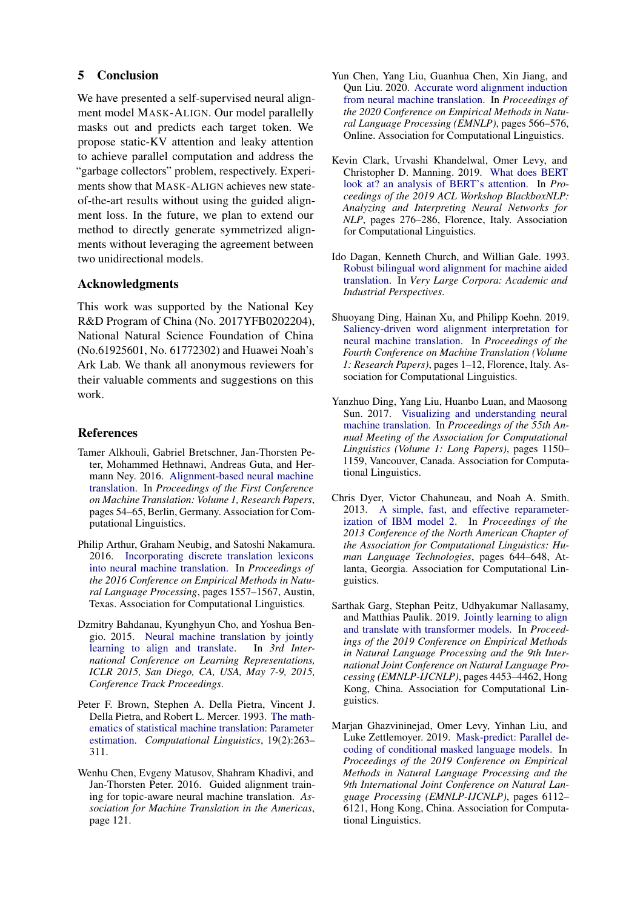# 5 Conclusion

We have presented a self-supervised neural alignment model MASK-ALIGN. Our model parallelly masks out and predicts each target token. We propose static-KV attention and leaky attention to achieve parallel computation and address the "garbage collectors" problem, respectively. Experiments show that MASK-ALIGN achieves new stateof-the-art results without using the guided alignment loss. In the future, we plan to extend our method to directly generate symmetrized alignments without leveraging the agreement between two unidirectional models.

# Acknowledgments

This work was supported by the National Key R&D Program of China (No. 2017YFB0202204), National Natural Science Foundation of China (No.61925601, No. 61772302) and Huawei Noah's Ark Lab. We thank all anonymous reviewers for their valuable comments and suggestions on this work.

# **References**

- <span id="page-8-11"></span>Tamer Alkhouli, Gabriel Bretschner, Jan-Thorsten Peter, Mohammed Hethnawi, Andreas Guta, and Hermann Ney. 2016. [Alignment-based neural machine](https://doi.org/10.18653/v1/W16-2206) [translation.](https://doi.org/10.18653/v1/W16-2206) In *Proceedings of the First Conference on Machine Translation: Volume 1, Research Papers*, pages 54–65, Berlin, Germany. Association for Computational Linguistics.
- <span id="page-8-4"></span>Philip Arthur, Graham Neubig, and Satoshi Nakamura. 2016. [Incorporating discrete translation lexicons](https://doi.org/10.18653/v1/D16-1162) [into neural machine translation.](https://doi.org/10.18653/v1/D16-1162) In *Proceedings of the 2016 Conference on Empirical Methods in Natural Language Processing*, pages 1557–1567, Austin, Texas. Association for Computational Linguistics.
- <span id="page-8-2"></span>Dzmitry Bahdanau, Kyunghyun Cho, and Yoshua Bengio. 2015. [Neural machine translation by jointly](http://arxiv.org/abs/1409.0473) [learning to align and translate.](http://arxiv.org/abs/1409.0473) In *3rd International Conference on Learning Representations, ICLR 2015, San Diego, CA, USA, May 7-9, 2015, Conference Track Proceedings*.
- <span id="page-8-0"></span>Peter F. Brown, Stephen A. Della Pietra, Vincent J. Della Pietra, and Robert L. Mercer. 1993. [The math](https://www.aclweb.org/anthology/J93-2003)[ematics of statistical machine translation: Parameter](https://www.aclweb.org/anthology/J93-2003) [estimation.](https://www.aclweb.org/anthology/J93-2003) *Computational Linguistics*, 19(2):263– 311.
- <span id="page-8-8"></span>Wenhu Chen, Evgeny Matusov, Shahram Khadivi, and Jan-Thorsten Peter. 2016. Guided alignment training for topic-aware neural machine translation. *Association for Machine Translation in the Americas*, page 121.
- <span id="page-8-7"></span>Yun Chen, Yang Liu, Guanhua Chen, Xin Jiang, and Qun Liu. 2020. [Accurate word alignment induction](https://doi.org/10.18653/v1/2020.emnlp-main.42) [from neural machine translation.](https://doi.org/10.18653/v1/2020.emnlp-main.42) In *Proceedings of the 2020 Conference on Empirical Methods in Natural Language Processing (EMNLP)*, pages 566–576, Online. Association for Computational Linguistics.
- <span id="page-8-9"></span>Kevin Clark, Urvashi Khandelwal, Omer Levy, and Christopher D. Manning. 2019. [What does BERT](https://doi.org/10.18653/v1/W19-4828) [look at? an analysis of BERT's attention.](https://doi.org/10.18653/v1/W19-4828) In *Proceedings of the 2019 ACL Workshop BlackboxNLP: Analyzing and Interpreting Neural Networks for NLP*, pages 276–286, Florence, Italy. Association for Computational Linguistics.
- <span id="page-8-5"></span>Ido Dagan, Kenneth Church, and Willian Gale. 1993. [Robust bilingual word alignment for machine aided](https://www.aclweb.org/anthology/W93-0301) [translation.](https://www.aclweb.org/anthology/W93-0301) In *Very Large Corpora: Academic and Industrial Perspectives*.
- <span id="page-8-10"></span>Shuoyang Ding, Hainan Xu, and Philipp Koehn. 2019. [Saliency-driven word alignment interpretation for](https://doi.org/10.18653/v1/W19-5201) [neural machine translation.](https://doi.org/10.18653/v1/W19-5201) In *Proceedings of the Fourth Conference on Machine Translation (Volume 1: Research Papers)*, pages 1–12, Florence, Italy. Association for Computational Linguistics.
- <span id="page-8-3"></span>Yanzhuo Ding, Yang Liu, Huanbo Luan, and Maosong Sun. 2017. [Visualizing and understanding neural](https://doi.org/10.18653/v1/P17-1106) [machine translation.](https://doi.org/10.18653/v1/P17-1106) In *Proceedings of the 55th Annual Meeting of the Association for Computational Linguistics (Volume 1: Long Papers)*, pages 1150– 1159, Vancouver, Canada. Association for Computational Linguistics.
- <span id="page-8-1"></span>Chris Dyer, Victor Chahuneau, and Noah A. Smith. 2013. [A simple, fast, and effective reparameter](https://www.aclweb.org/anthology/N13-1073)[ization of IBM model 2.](https://www.aclweb.org/anthology/N13-1073) In *Proceedings of the 2013 Conference of the North American Chapter of the Association for Computational Linguistics: Human Language Technologies*, pages 644–648, Atlanta, Georgia. Association for Computational Linguistics.
- <span id="page-8-6"></span>Sarthak Garg, Stephan Peitz, Udhyakumar Nallasamy, and Matthias Paulik. 2019. [Jointly learning to align](https://doi.org/10.18653/v1/D19-1453) [and translate with transformer models.](https://doi.org/10.18653/v1/D19-1453) In *Proceedings of the 2019 Conference on Empirical Methods in Natural Language Processing and the 9th International Joint Conference on Natural Language Processing (EMNLP-IJCNLP)*, pages 4453–4462, Hong Kong, China. Association for Computational Linguistics.
- <span id="page-8-12"></span>Marjan Ghazvininejad, Omer Levy, Yinhan Liu, and Luke Zettlemoyer. 2019. [Mask-predict: Parallel de](https://doi.org/10.18653/v1/D19-1633)[coding of conditional masked language models.](https://doi.org/10.18653/v1/D19-1633) In *Proceedings of the 2019 Conference on Empirical Methods in Natural Language Processing and the 9th International Joint Conference on Natural Language Processing (EMNLP-IJCNLP)*, pages 6112– 6121, Hong Kong, China. Association for Computational Linguistics.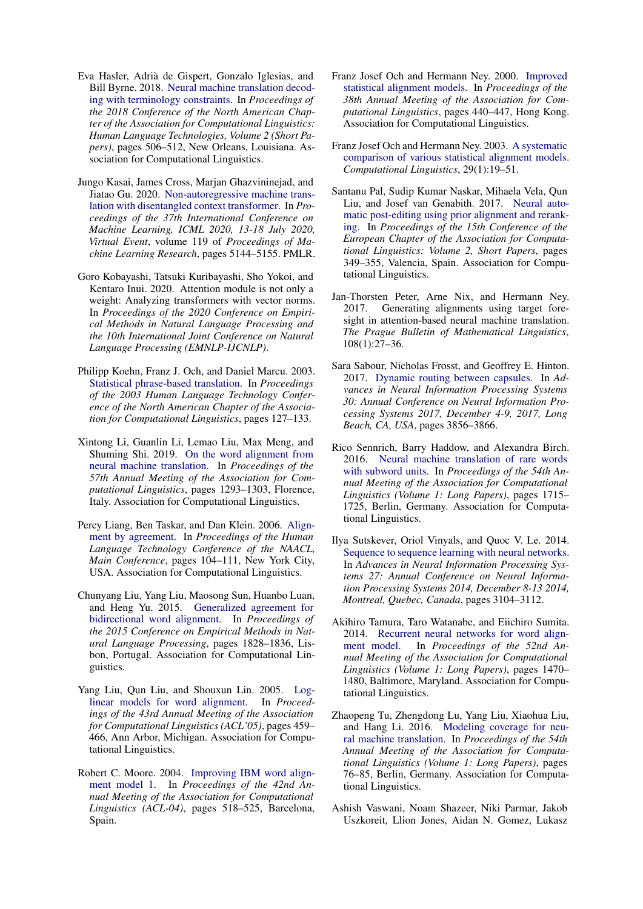- <span id="page-9-3"></span>Eva Hasler, Adria de Gispert, Gonzalo Iglesias, and ` Bill Byrne. 2018. [Neural machine translation decod](https://doi.org/10.18653/v1/N18-2081)[ing with terminology constraints.](https://doi.org/10.18653/v1/N18-2081) In *Proceedings of the 2018 Conference of the North American Chapter of the Association for Computational Linguistics: Human Language Technologies, Volume 2 (Short Papers)*, pages 506–512, New Orleans, Louisiana. Association for Computational Linguistics.
- <span id="page-9-10"></span>Jungo Kasai, James Cross, Marjan Ghazvininejad, and Jiatao Gu. 2020. [Non-autoregressive machine trans](http://proceedings.mlr.press/v119/kasai20a.html)[lation with disentangled context transformer.](http://proceedings.mlr.press/v119/kasai20a.html) In *Proceedings of the 37th International Conference on Machine Learning, ICML 2020, 13-18 July 2020, Virtual Event*, volume 119 of *Proceedings of Machine Learning Research*, pages 5144–5155. PMLR.
- <span id="page-9-12"></span>Goro Kobayashi, Tatsuki Kuribayashi, Sho Yokoi, and Kentaro Inui. 2020. Attention module is not only a weight: Analyzing transformers with vector norms. In *Proceedings of the 2020 Conference on Empirical Methods in Natural Language Processing and the 10th International Joint Conference on Natural Language Processing (EMNLP-IJCNLP)*.
- <span id="page-9-0"></span>Philipp Koehn, Franz J. Och, and Daniel Marcu. 2003. [Statistical phrase-based translation.](https://www.aclweb.org/anthology/N03-1017) In *Proceedings of the 2003 Human Language Technology Conference of the North American Chapter of the Association for Computational Linguistics*, pages 127–133.
- <span id="page-9-7"></span>Xintong Li, Guanlin Li, Lemao Liu, Max Meng, and Shuming Shi. 2019. [On the word alignment from](https://doi.org/10.18653/v1/P19-1124) [neural machine translation.](https://doi.org/10.18653/v1/P19-1124) In *Proceedings of the 57th Annual Meeting of the Association for Computational Linguistics*, pages 1293–1303, Florence, Italy. Association for Computational Linguistics.
- <span id="page-9-14"></span>Percy Liang, Ben Taskar, and Dan Klein. 2006. [Align](https://www.aclweb.org/anthology/N06-1014)[ment by agreement.](https://www.aclweb.org/anthology/N06-1014) In *Proceedings of the Human Language Technology Conference of the NAACL, Main Conference*, pages 104–111, New York City, USA. Association for Computational Linguistics.
- <span id="page-9-15"></span>Chunyang Liu, Yang Liu, Maosong Sun, Huanbo Luan, and Heng Yu. 2015. [Generalized agreement for](https://doi.org/10.18653/v1/D15-1210) [bidirectional word alignment.](https://doi.org/10.18653/v1/D15-1210) In *Proceedings of the 2015 Conference on Empirical Methods in Natural Language Processing*, pages 1828–1836, Lisbon, Portugal. Association for Computational Linguistics.
- <span id="page-9-16"></span>Yang Liu, Qun Liu, and Shouxun Lin. 2005. [Log](https://doi.org/10.3115/1219840.1219897)[linear models for word alignment.](https://doi.org/10.3115/1219840.1219897) In *Proceedings of the 43rd Annual Meeting of the Association for Computational Linguistics (ACL'05)*, pages 459– 466, Ann Arbor, Michigan. Association for Computational Linguistics.
- <span id="page-9-11"></span>Robert C. Moore. 2004. [Improving IBM word align](https://doi.org/10.3115/1218955.1219021)[ment model 1.](https://doi.org/10.3115/1218955.1219021) In *Proceedings of the 42nd Annual Meeting of the Association for Computational Linguistics (ACL-04)*, pages 518–525, Barcelona, Spain.
- <span id="page-9-18"></span>Franz Josef Och and Hermann Ney. 2000. [Improved](https://doi.org/10.3115/1075218.1075274) [statistical alignment models.](https://doi.org/10.3115/1075218.1075274) In *Proceedings of the 38th Annual Meeting of the Association for Computational Linguistics*, pages 440–447, Hong Kong. Association for Computational Linguistics.
- <span id="page-9-6"></span>Franz Josef Och and Hermann Ney. 2003. [A systematic](https://doi.org/10.1162/089120103321337421) [comparison of various statistical alignment models.](https://doi.org/10.1162/089120103321337421) *Computational Linguistics*, 29(1):19–51.
- <span id="page-9-4"></span>Santanu Pal, Sudip Kumar Naskar, Mihaela Vela, Qun Liu, and Josef van Genabith. 2017. [Neural auto](https://www.aclweb.org/anthology/E17-2056)[matic post-editing using prior alignment and rerank](https://www.aclweb.org/anthology/E17-2056)[ing.](https://www.aclweb.org/anthology/E17-2056) In *Proceedings of the 15th Conference of the European Chapter of the Association for Computational Linguistics: Volume 2, Short Papers*, pages 349–355, Valencia, Spain. Association for Computational Linguistics.
- <span id="page-9-9"></span>Jan-Thorsten Peter, Arne Nix, and Hermann Ney. 2017. Generating alignments using target foresight in attention-based neural machine translation. *The Prague Bulletin of Mathematical Linguistics*, 108(1):27–36.
- <span id="page-9-13"></span>Sara Sabour, Nicholas Frosst, and Geoffrey E. Hinton. 2017. [Dynamic routing between capsules.](https://proceedings.neurips.cc/paper/2017/hash/2cad8fa47bbef282badbb8de5374b894-Abstract.html) In *Advances in Neural Information Processing Systems 30: Annual Conference on Neural Information Processing Systems 2017, December 4-9, 2017, Long Beach, CA, USA*, pages 3856–3866.
- <span id="page-9-17"></span>Rico Sennrich, Barry Haddow, and Alexandra Birch. 2016. [Neural machine translation of rare words](https://doi.org/10.18653/v1/P16-1162) [with subword units.](https://doi.org/10.18653/v1/P16-1162) In *Proceedings of the 54th Annual Meeting of the Association for Computational Linguistics (Volume 1: Long Papers)*, pages 1715– 1725, Berlin, Germany. Association for Computational Linguistics.
- <span id="page-9-8"></span>Ilya Sutskever, Oriol Vinyals, and Quoc V. Le. 2014. [Sequence to sequence learning with neural networks.](https://proceedings.neurips.cc/paper/2014/hash/a14ac55a4f27472c5d894ec1c3c743d2-Abstract.html) In *Advances in Neural Information Processing Systems 27: Annual Conference on Neural Information Processing Systems 2014, December 8-13 2014, Montreal, Quebec, Canada*, pages 3104–3112.
- <span id="page-9-5"></span>Akihiro Tamura, Taro Watanabe, and Eiichiro Sumita. 2014. [Recurrent neural networks for word align](https://doi.org/10.3115/v1/P14-1138)[ment model.](https://doi.org/10.3115/v1/P14-1138) In *Proceedings of the 52nd Annual Meeting of the Association for Computational Linguistics (Volume 1: Long Papers)*, pages 1470– 1480, Baltimore, Maryland. Association for Computational Linguistics.
- <span id="page-9-2"></span>Zhaopeng Tu, Zhengdong Lu, Yang Liu, Xiaohua Liu, and Hang Li. 2016. [Modeling coverage for neu](https://doi.org/10.18653/v1/P16-1008)[ral machine translation.](https://doi.org/10.18653/v1/P16-1008) In *Proceedings of the 54th Annual Meeting of the Association for Computational Linguistics (Volume 1: Long Papers)*, pages 76–85, Berlin, Germany. Association for Computational Linguistics.
- <span id="page-9-1"></span>Ashish Vaswani, Noam Shazeer, Niki Parmar, Jakob Uszkoreit, Llion Jones, Aidan N. Gomez, Lukasz